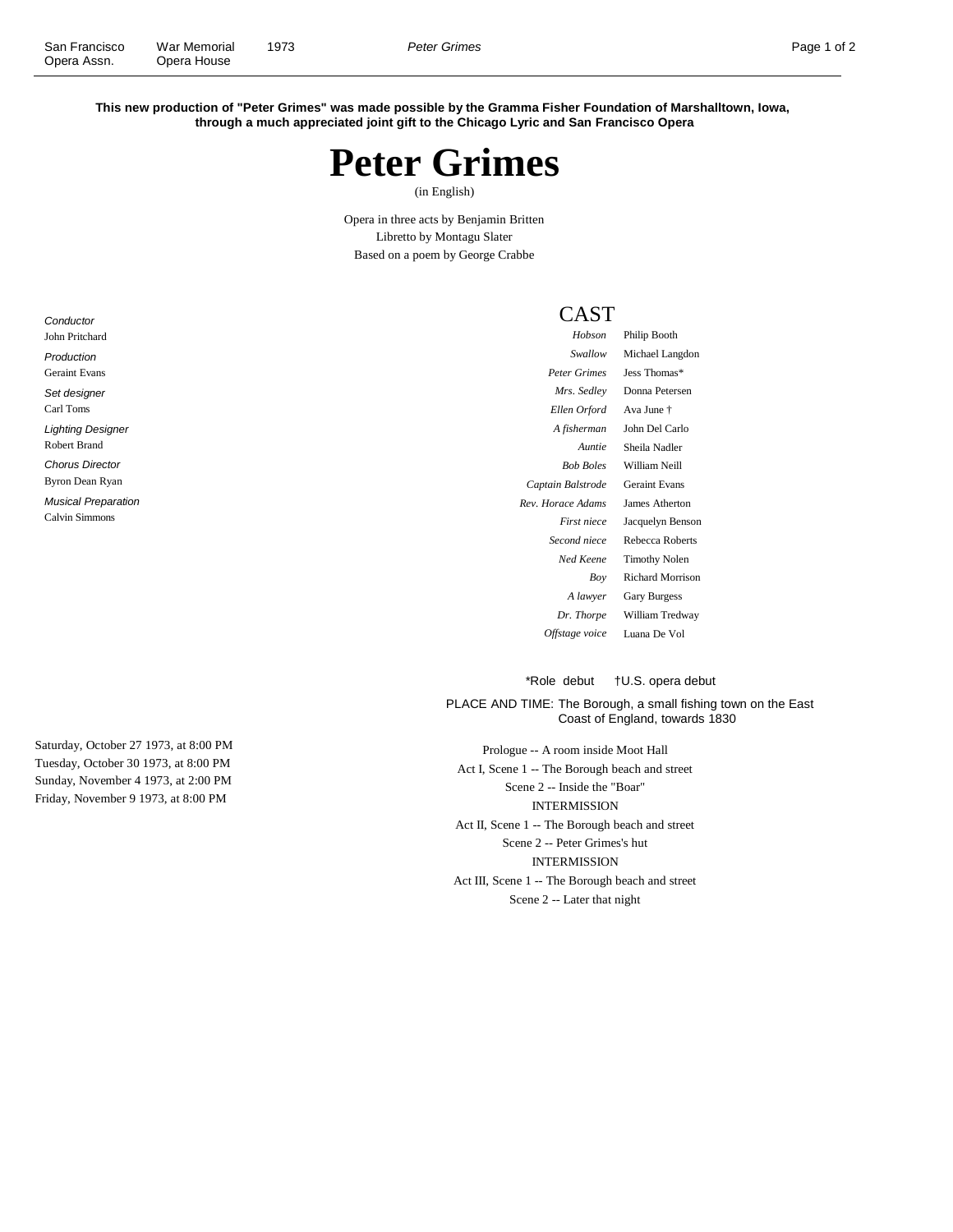**This new production of "Peter Grimes" was made possible by the Gramma Fisher Foundation of Marshalltown, Iowa, through a much appreciated joint gift to the Chicago Lyric and San Francisco Opera**



(in English)

Opera in three acts by Benjamin Britten Libretto by Montagu Slater Based on a poem by George Crabbe

## CAST

| Hobson            | Philip Booth         |
|-------------------|----------------------|
| Swallow           | Michael Langdon      |
| Peter Grimes      | Jess Thomas*         |
| Mrs. Sedlev       | Donna Petersen       |
| Ellen Orford      | Ava June †           |
| A fisherman       | John Del Carlo       |
| Auntie            | Sheila Nadler        |
| <b>Bob Boles</b>  | William Neill        |
| Captain Balstrode | <b>Geraint Evans</b> |
| Rev. Horace Adams | James Atherton       |
| First niece       | Jacquelyn Benson     |
| Second niece      | Rebecca Roberts      |
| Ned Keene         | <b>Timothy Nolen</b> |
| Boy               | Richard Morrison     |
| A lawyer          | <b>Gary Burgess</b>  |
| Dr. Thorpe        | William Tredway      |
| Offstage voice    | Luana De Vol         |

\*Role debut †U.S. opera debut

PLACE AND TIME: The Borough, a small fishing town on the East Coast of England, towards 1830

Prologue -- A room inside Moot Hall Act I, Scene 1 -- The Borough beach and street Scene 2 -- Inside the "Boar" INTERMISSION Act II, Scene 1 -- The Borough beach and street Scene 2 -- Peter Grimes's hut INTERMISSION Act III, Scene 1 -- The Borough beach and street Scene 2 -- Later that night

**Conductor** John Pritchard Production Geraint Evans Set designer Carl Toms Lighting Designer Robert Brand Chorus Director Byron Dean Ryan Musical Preparation Calvin Simmons

Saturday, October 27 1973, at 8:00 PM Tuesday, October 30 1973, at 8:00 PM Sunday, November 4 1973, at 2:00 PM Friday, November 9 1973, at 8:00 PM